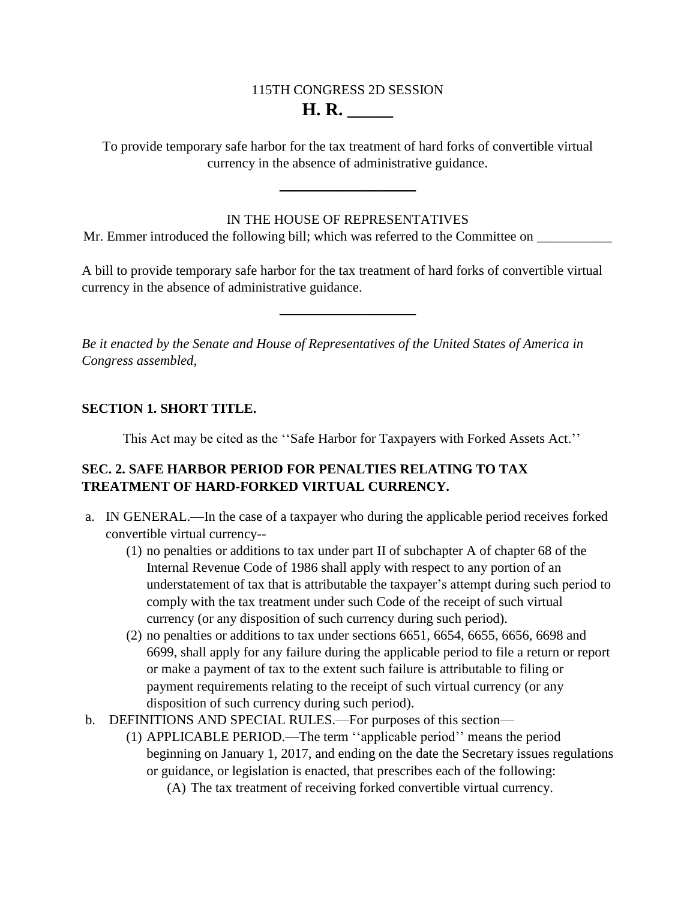## 115TH CONGRESS 2D SESSION **H. R. \_\_\_\_\_**

To provide temporary safe harbor for the tax treatment of hard forks of convertible virtual currency in the absence of administrative guidance.

**\_\_\_\_\_\_\_\_\_\_\_\_\_\_\_**

## IN THE HOUSE OF REPRESENTATIVES

Mr. Emmer introduced the following bill; which was referred to the Committee on

A bill to provide temporary safe harbor for the tax treatment of hard forks of convertible virtual currency in the absence of administrative guidance.

**\_\_\_\_\_\_\_\_\_\_\_\_\_\_\_**

*Be it enacted by the Senate and House of Representatives of the United States of America in Congress assembled,*

## **SECTION 1. SHORT TITLE.**

This Act may be cited as the ''Safe Harbor for Taxpayers with Forked Assets Act.''

## **SEC. 2. SAFE HARBOR PERIOD FOR PENALTIES RELATING TO TAX TREATMENT OF HARD-FORKED VIRTUAL CURRENCY.**

- a. IN GENERAL.—In the case of a taxpayer who during the applicable period receives forked convertible virtual currency--
	- (1) no penalties or additions to tax under part II of subchapter A of chapter 68 of the Internal Revenue Code of 1986 shall apply with respect to any portion of an understatement of tax that is attributable the taxpayer's attempt during such period to comply with the tax treatment under such Code of the receipt of such virtual currency (or any disposition of such currency during such period).
	- (2) no penalties or additions to tax under sections 6651, 6654, 6655, 6656, 6698 and 6699, shall apply for any failure during the applicable period to file a return or report or make a payment of tax to the extent such failure is attributable to filing or payment requirements relating to the receipt of such virtual currency (or any disposition of such currency during such period).
- b. DEFINITIONS AND SPECIAL RULES.—For purposes of this section—
	- (1) APPLICABLE PERIOD.—The term ''applicable period'' means the period beginning on January 1, 2017, and ending on the date the Secretary issues regulations or guidance, or legislation is enacted, that prescribes each of the following:
		- (A) The tax treatment of receiving forked convertible virtual currency.